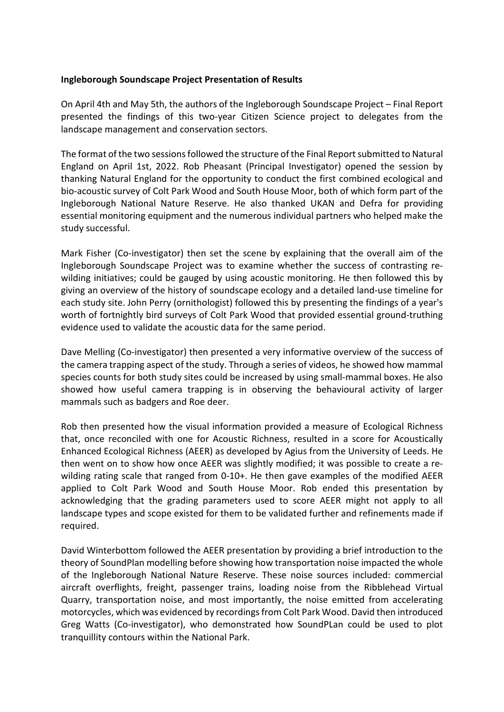## **Ingleborough Soundscape Project Presentation of Results**

On April 4th and May 5th, the authors of the Ingleborough Soundscape Project – Final Report presented the findings of this two-year Citizen Science project to delegates from the landscape management and conservation sectors.

The format of the two sessions followed the structure of the Final Report submitted to Natural England on April 1st, 2022. Rob Pheasant (Principal Investigator) opened the session by thanking Natural England for the opportunity to conduct the first combined ecological and bio-acoustic survey of Colt Park Wood and South House Moor, both of which form part of the Ingleborough National Nature Reserve. He also thanked UKAN and Defra for providing essential monitoring equipment and the numerous individual partners who helped make the study successful.

Mark Fisher (Co-investigator) then set the scene by explaining that the overall aim of the Ingleborough Soundscape Project was to examine whether the success of contrasting rewilding initiatives; could be gauged by using acoustic monitoring. He then followed this by giving an overview of the history of soundscape ecology and a detailed land-use timeline for each study site. John Perry (ornithologist) followed this by presenting the findings of a year's worth of fortnightly bird surveys of Colt Park Wood that provided essential ground-truthing evidence used to validate the acoustic data for the same period.

Dave Melling (Co-investigator) then presented a very informative overview of the success of the camera trapping aspect of the study. Through a series of videos, he showed how mammal species counts for both study sites could be increased by using small-mammal boxes. He also showed how useful camera trapping is in observing the behavioural activity of larger mammals such as badgers and Roe deer.

Rob then presented how the visual information provided a measure of Ecological Richness that, once reconciled with one for Acoustic Richness, resulted in a score for Acoustically Enhanced Ecological Richness (AEER) as developed by Agius from the University of Leeds. He then went on to show how once AEER was slightly modified; it was possible to create a rewilding rating scale that ranged from 0-10+. He then gave examples of the modified AEER applied to Colt Park Wood and South House Moor. Rob ended this presentation by acknowledging that the grading parameters used to score AEER might not apply to all landscape types and scope existed for them to be validated further and refinements made if required.

David Winterbottom followed the AEER presentation by providing a brief introduction to the theory of SoundPlan modelling before showing how transportation noise impacted the whole of the Ingleborough National Nature Reserve. These noise sources included: commercial aircraft overflights, freight, passenger trains, loading noise from the Ribblehead Virtual Quarry, transportation noise, and most importantly, the noise emitted from accelerating motorcycles, which was evidenced by recordings from Colt Park Wood. David then introduced Greg Watts (Co-investigator), who demonstrated how SoundPLan could be used to plot tranquillity contours within the National Park.